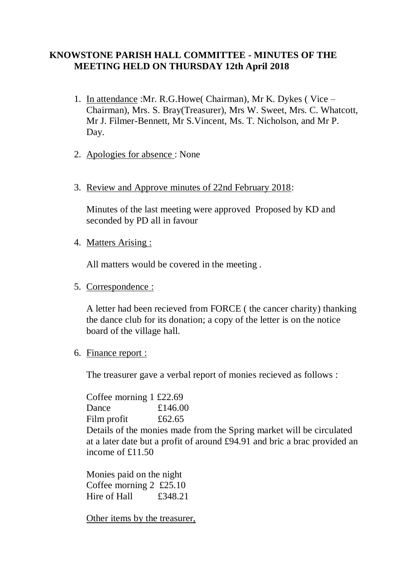# **KNOWSTONE PARISH HALL COMMITTEE - MINUTES OF THE MEETING HELD ON THURSDAY 12th April 2018**

- 1. In attendance :Mr. R.G.Howe( Chairman), Mr K. Dykes ( Vice Chairman), Mrs. S. Bray(Treasurer), Mrs W. Sweet, Mrs. C. Whatcott, Mr J. Filmer-Bennett, Mr S.Vincent, Ms. T. Nicholson, and Mr P. Day.
- 2. Apologies for absence : None
- 3. Review and Approve minutes of 22nd February 2018:

Minutes of the last meeting were approved Proposed by KD and seconded by PD all in favour

4. Matters Arising :

All matters would be covered in the meeting .

5. Correspondence :

A letter had been recieved from FORCE ( the cancer charity) thanking the dance club for its donation; a copy of the letter is on the notice board of the village hall.

6. Finance report :

The treasurer gave a verbal report of monies recieved as follows :

Coffee morning 1 £22.69 Dance £146.00 Film profit £62.65 Details of the monies made from the Spring market will be circulated at a later date but a profit of around £94.91 and bric a brac provided an income of  $£11.50$ 

Monies paid on the night Coffee morning 2 £25.10 Hire of Hall £348.21

Other items by the treasurer,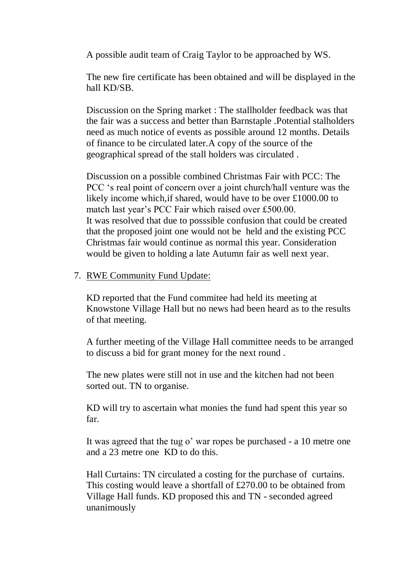A possible audit team of Craig Taylor to be approached by WS.

The new fire certificate has been obtained and will be displayed in the hall KD/SB.

Discussion on the Spring market : The stallholder feedback was that the fair was a success and better than Barnstaple .Potential stalholders need as much notice of events as possible around 12 months. Details of finance to be circulated later.A copy of the source of the geographical spread of the stall holders was circulated .

Discussion on a possible combined Christmas Fair with PCC: The PCC 's real point of concern over a joint church/hall venture was the likely income which,if shared, would have to be over £1000.00 to match last year's PCC Fair which raised over £500.00. It was resolved that due to posssible confusion that could be created that the proposed joint one would not be held and the existing PCC Christmas fair would continue as normal this year. Consideration would be given to holding a late Autumn fair as well next year.

### 7. RWE Community Fund Update:

KD reported that the Fund commitee had held its meeting at Knowstone Village Hall but no news had been heard as to the results of that meeting.

A further meeting of the Village Hall committee needs to be arranged to discuss a bid for grant money for the next round .

The new plates were still not in use and the kitchen had not been sorted out. TN to organise.

KD will try to ascertain what monies the fund had spent this year so far.

It was agreed that the tug o' war ropes be purchased - a 10 metre one and a 23 metre one KD to do this.

Hall Curtains: TN circulated a costing for the purchase of curtains. This costing would leave a shortfall of £270.00 to be obtained from Village Hall funds. KD proposed this and TN - seconded agreed unanimously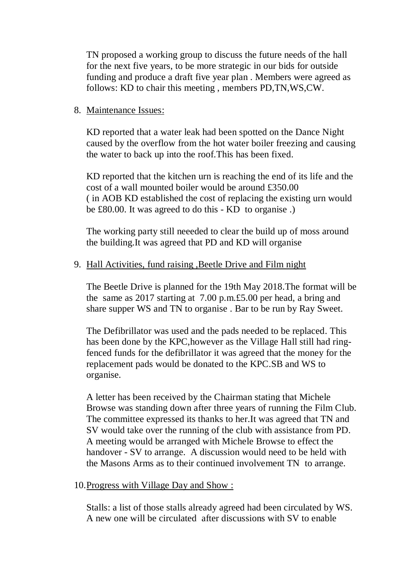TN proposed a working group to discuss the future needs of the hall for the next five years, to be more strategic in our bids for outside funding and produce a draft five year plan . Members were agreed as follows: KD to chair this meeting , members PD,TN,WS,CW.

### 8. Maintenance Issues:

KD reported that a water leak had been spotted on the Dance Night caused by the overflow from the hot water boiler freezing and causing the water to back up into the roof.This has been fixed.

KD reported that the kitchen urn is reaching the end of its life and the cost of a wall mounted boiler would be around £350.00 ( in AOB KD established the cost of replacing the existing urn would be £80.00. It was agreed to do this - KD to organise .)

The working party still neeeded to clear the build up of moss around the building.It was agreed that PD and KD will organise

### 9. Hall Activities, fund raising ,Beetle Drive and Film night

The Beetle Drive is planned for the 19th May 2018.The format will be the same as 2017 starting at 7.00 p.m.£5.00 per head, a bring and share supper WS and TN to organise . Bar to be run by Ray Sweet.

The Defibrillator was used and the pads needed to be replaced. This has been done by the KPC,however as the Village Hall still had ringfenced funds for the defibrillator it was agreed that the money for the replacement pads would be donated to the KPC.SB and WS to organise.

A letter has been received by the Chairman stating that Michele Browse was standing down after three years of running the Film Club. The committee expressed its thanks to her.It was agreed that TN and SV would take over the running of the club with assistance from PD. A meeting would be arranged with Michele Browse to effect the handover - SV to arrange. A discussion would need to be held with the Masons Arms as to their continued involvement TN to arrange.

#### 10.Progress with Village Day and Show :

Stalls: a list of those stalls already agreed had been circulated by WS. A new one will be circulated after discussions with SV to enable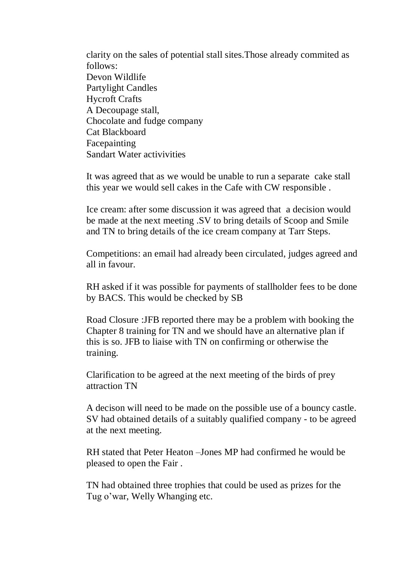clarity on the sales of potential stall sites.Those already commited as follows: Devon Wildlife Partylight Candles Hycroft Crafts A Decoupage stall, Chocolate and fudge company Cat Blackboard Facepainting Sandart Water activivities

It was agreed that as we would be unable to run a separate cake stall this year we would sell cakes in the Cafe with CW responsible .

Ice cream: after some discussion it was agreed that a decision would be made at the next meeting .SV to bring details of Scoop and Smile and TN to bring details of the ice cream company at Tarr Steps.

Competitions: an email had already been circulated, judges agreed and all in favour.

RH asked if it was possible for payments of stallholder fees to be done by BACS. This would be checked by SB

Road Closure :JFB reported there may be a problem with booking the Chapter 8 training for TN and we should have an alternative plan if this is so. JFB to liaise with TN on confirming or otherwise the training.

Clarification to be agreed at the next meeting of the birds of prey attraction TN

A decison will need to be made on the possible use of a bouncy castle. SV had obtained details of a suitably qualified company - to be agreed at the next meeting.

RH stated that Peter Heaton –Jones MP had confirmed he would be pleased to open the Fair .

TN had obtained three trophies that could be used as prizes for the Tug o'war, Welly Whanging etc.